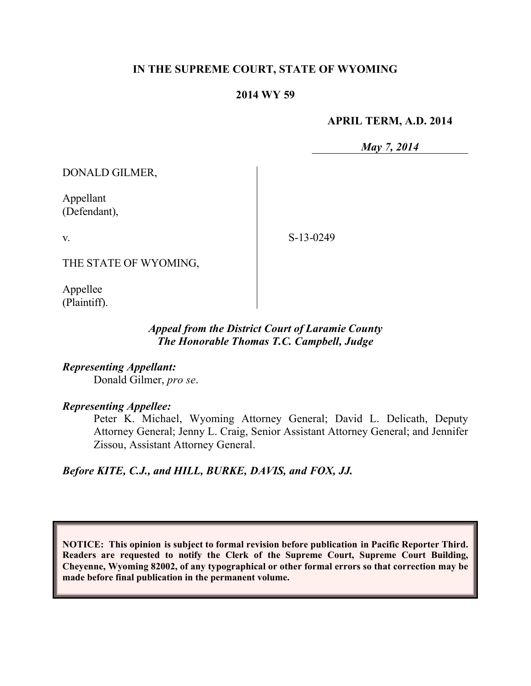## **IN THE SUPREME COURT, STATE OF WYOMING**

### **2014 WY 59**

#### **APRIL TERM, A.D. 2014**

*May 7, 2014*

DONALD GILMER,

Appellant (Defendant),

v.

S-13-0249

THE STATE OF WYOMING,

Appellee (Plaintiff).

## *Appeal from the District Court of Laramie County The Honorable Thomas T.C. Campbell, Judge*

*Representing Appellant:* Donald Gilmer, *pro se*.

## *Representing Appellee:*

Peter K. Michael, Wyoming Attorney General; David L. Delicath, Deputy Attorney General; Jenny L. Craig, Senior Assistant Attorney General; and Jennifer Zissou, Assistant Attorney General.

*Before KITE, C.J., and HILL, BURKE, DAVIS, and FOX, JJ.*

**NOTICE: This opinion is subject to formal revision before publication in Pacific Reporter Third. Readers are requested to notify the Clerk of the Supreme Court, Supreme Court Building, Cheyenne, Wyoming 82002, of any typographical or other formal errors so that correction may be made before final publication in the permanent volume.**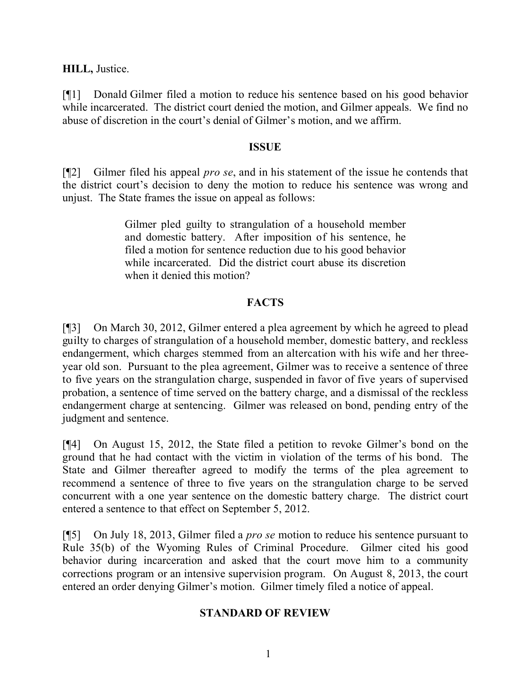**HILL,** Justice.

[¶1] Donald Gilmer filed a motion to reduce his sentence based on his good behavior while incarcerated. The district court denied the motion, and Gilmer appeals. We find no abuse of discretion in the court's denial of Gilmer's motion, and we affirm.

## **ISSUE**

[¶2] Gilmer filed his appeal *pro se*, and in his statement of the issue he contends that the district court's decision to deny the motion to reduce his sentence was wrong and unjust. The State frames the issue on appeal as follows:

> Gilmer pled guilty to strangulation of a household member and domestic battery. After imposition of his sentence, he filed a motion for sentence reduction due to his good behavior while incarcerated. Did the district court abuse its discretion when it denied this motion?

# **FACTS**

[¶3] On March 30, 2012, Gilmer entered a plea agreement by which he agreed to plead guilty to charges of strangulation of a household member, domestic battery, and reckless endangerment, which charges stemmed from an altercation with his wife and her threeyear old son. Pursuant to the plea agreement, Gilmer was to receive a sentence of three to five years on the strangulation charge, suspended in favor of five years of supervised probation, a sentence of time served on the battery charge, and a dismissal of the reckless endangerment charge at sentencing. Gilmer was released on bond, pending entry of the judgment and sentence.

[¶4] On August 15, 2012, the State filed a petition to revoke Gilmer's bond on the ground that he had contact with the victim in violation of the terms of his bond. The State and Gilmer thereafter agreed to modify the terms of the plea agreement to recommend a sentence of three to five years on the strangulation charge to be served concurrent with a one year sentence on the domestic battery charge. The district court entered a sentence to that effect on September 5, 2012.

[¶5] On July 18, 2013, Gilmer filed a *pro se* motion to reduce his sentence pursuant to Rule 35(b) of the Wyoming Rules of Criminal Procedure. Gilmer cited his good behavior during incarceration and asked that the court move him to a community corrections program or an intensive supervision program. On August 8, 2013, the court entered an order denying Gilmer's motion. Gilmer timely filed a notice of appeal.

# **STANDARD OF REVIEW**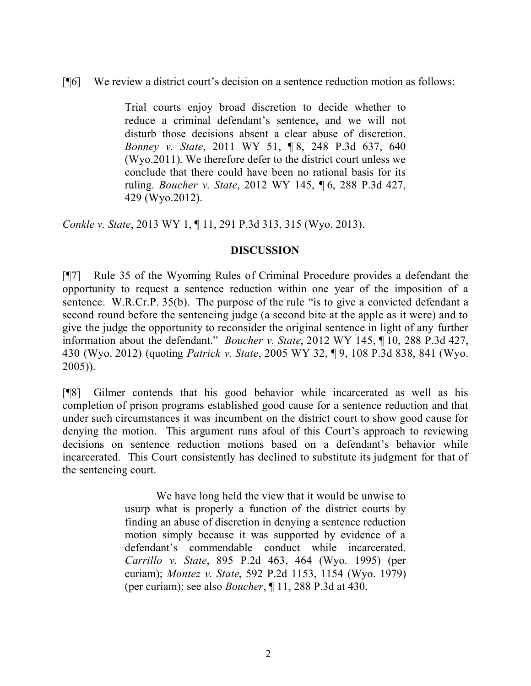## [¶6] We review a district court's decision on a sentence reduction motion as follows:

Trial courts enjoy broad discretion to decide whether to reduce a criminal defendant's sentence, and we will not disturb those decisions absent a clear abuse of discretion. *Bonney v. State*, 2011 WY 51, ¶ 8, 248 P.3d 637, 640 (Wyo.2011). We therefore defer to the district court unless we conclude that there could have been no rational basis for its ruling. *Boucher v. State*, 2012 WY 145, ¶ 6, 288 P.3d 427, 429 (Wyo.2012).

*Conkle v. State*, 2013 WY 1, ¶ 11, 291 P.3d 313, 315 (Wyo. 2013).

### **DISCUSSION**

[¶7] Rule 35 of the Wyoming Rules of Criminal Procedure provides a defendant the opportunity to request a sentence reduction within one year of the imposition of a sentence. W.R.Cr.P. 35(b). The purpose of the rule "is to give a convicted defendant a second round before the sentencing judge (a second bite at the apple as it were) and to give the judge the opportunity to reconsider the original sentence in light of any further information about the defendant." *Boucher v. State*, 2012 WY 145, ¶ 10, 288 P.3d 427, 430 (Wyo. 2012) (quoting *Patrick v. State*, 2005 WY 32, ¶ 9, 108 P.3d 838, 841 (Wyo. 2005)).

[¶8] Gilmer contends that his good behavior while incarcerated as well as his completion of prison programs established good cause for a sentence reduction and that under such circumstances it was incumbent on the district court to show good cause for denying the motion. This argument runs afoul of this Court's approach to reviewing decisions on sentence reduction motions based on a defendant's behavior while incarcerated. This Court consistently has declined to substitute its judgment for that of the sentencing court.

> We have long held the view that it would be unwise to usurp what is properly a function of the district courts by finding an abuse of discretion in denying a sentence reduction motion simply because it was supported by evidence of a defendant's commendable conduct while incarcerated. *Carrillo v. State*, 895 P.2d 463, 464 (Wyo. 1995) (per curiam); *Montez v. State*, 592 P.2d 1153, 1154 (Wyo. 1979) (per curiam); see also *Boucher*, ¶ 11, 288 P.3d at 430.